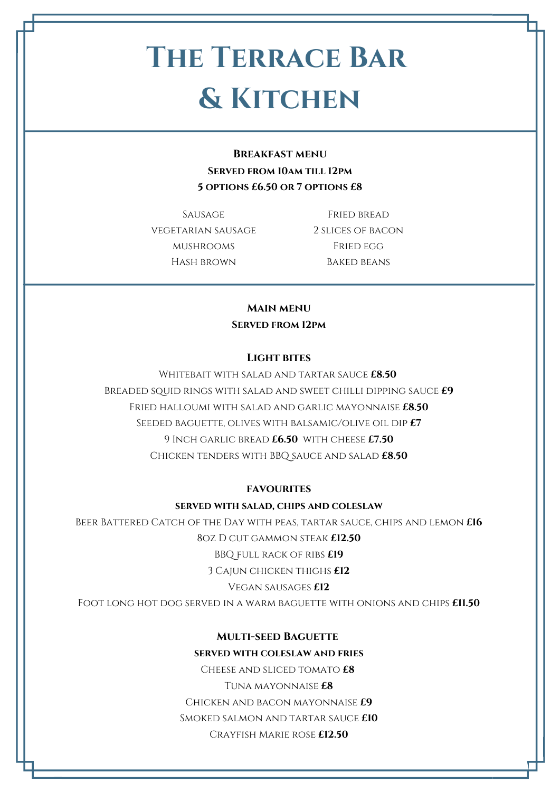**Light bites**

Whitebait with salad and tartar sauce **£8.50**

Breaded squid rings with salad and sweet chilli dipping sauce **£9**

Fried halloumi with salad and garlic mayonnaise **£8.50**

Seeded baguette, olives with balsamic/olive oil dip **£7**

9 Inch garlic bread **£6.50** with cheese **£7.50** Chicken tenders with BBQ sauce and salad **£8.50**

#### **favourites**

#### **served with salad, chips and coleslaw**

Beer Battered Catch of the Day with peas, tartar sauce, chips and lemon **£16** 8oz D cut gammon steak **£12.50** BBQ full rack of ribs **£19** 3 Cajun chicken thighs **£12** Vegan sausages **£12**

Foot long hot dog served in a warm baguette with onions and chips **£11.50**

### **Multi-seed Baguette**

#### **served with coleslaw and fries**

Cheese and sliced tomato **£8** Tuna mayonnaise **£8** Chicken and bacon mayonnaise **£9** Smoked salmon and tartar sauce **£10** Crayfish Marie rose **£12.50**

Fried bread 2 slices of bacon FRIED EGG Baked beans

# **The Terrace Bar & Kitchen**

**Breakfast menu Served from 10am till 12pm 5 options £6.50 or 7 options £8**

SAUSAGE

vegetarian sausage

mushrooms

HASH BROWN

**Main menu**

**Served from 12pm**